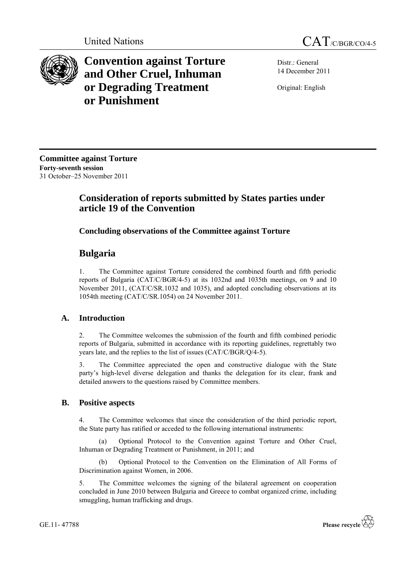



**Convention against Torture and Other Cruel, Inhuman or Degrading Treatment or Punishment**

Distr.: General 14 December 2011

Original: English

**Committee against Torture Forty-seventh session** 31 October–25 November 2011

# **Consideration of reports submitted by States parties under article 19 of the Convention**

## **Concluding observations of the Committee against Torture**

# **Bulgaria**

1. The Committee against Torture considered the combined fourth and fifth periodic reports of Bulgaria (CAT/C/BGR/4-5) at its 1032nd and 1035th meetings, on 9 and 10 November 2011, (CAT/C/SR.1032 and 1035), and adopted concluding observations at its 1054th meeting (CAT/C/SR.1054) on 24 November 2011.

## **A. Introduction**

2. The Committee welcomes the submission of the fourth and fifth combined periodic reports of Bulgaria, submitted in accordance with its reporting guidelines, regrettably two years late, and the replies to the list of issues (CAT/C/BGR/Q/4-5).

3. The Committee appreciated the open and constructive dialogue with the State party's high-level diverse delegation and thanks the delegation for its clear, frank and detailed answers to the questions raised by Committee members.

## **B. Positive aspects**

4. The Committee welcomes that since the consideration of the third periodic report, the State party has ratified or acceded to the following international instruments:

(a) Optional Protocol to the Convention against Torture and Other Cruel, Inhuman or Degrading Treatment or Punishment, in 2011; and

(b) Optional Protocol to the Convention on the Elimination of All Forms of Discrimination against Women, in 2006.

5. The Committee welcomes the signing of the bilateral agreement on cooperation concluded in June 2010 between Bulgaria and Greece to combat organized crime, including smuggling, human trafficking and drugs.

GE.11- 47788

Please recycle  $\overleftrightarrow{C}$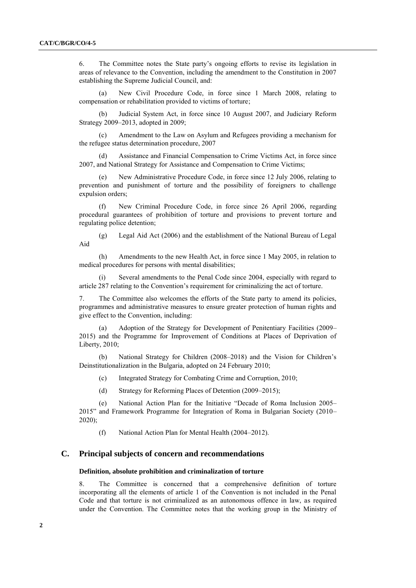6. The Committee notes the State party's ongoing efforts to revise its legislation in areas of relevance to the Convention, including the amendment to the Constitution in 2007 establishing the Supreme Judicial Council, and:

(a) New Civil Procedure Code, in force since 1 March 2008, relating to compensation or rehabilitation provided to victims of torture;

(b) Judicial System Act, in force since 10 August 2007, and Judiciary Reform Strategy 2009–2013, adopted in 2009;

Amendment to the Law on Asylum and Refugees providing a mechanism for the refugee status determination procedure, 2007

Assistance and Financial Compensation to Crime Victims Act, in force since 2007, and National Strategy for Assistance and Compensation to Crime Victims;

(e) New Administrative Procedure Code, in force since 12 July 2006, relating to prevention and punishment of torture and the possibility of foreigners to challenge expulsion orders;

(f) New Criminal Procedure Code, in force since 26 April 2006, regarding procedural guarantees of prohibition of torture and provisions to prevent torture and regulating police detention;

(g) Legal Aid Act (2006) and the establishment of the National Bureau of Legal Aid

(h) Amendments to the new Health Act, in force since 1 May 2005, in relation to medical procedures for persons with mental disabilities;

Several amendments to the Penal Code since 2004, especially with regard to article 287 relating to the Convention's requirement for criminalizing the act of torture.

7. The Committee also welcomes the efforts of the State party to amend its policies, programmes and administrative measures to ensure greater protection of human rights and give effect to the Convention, including:

Adoption of the Strategy for Development of Penitentiary Facilities (2009– 2015) and the Programme for Improvement of Conditions at Places of Deprivation of Liberty, 2010;

(b) National Strategy for Children (2008–2018) and the Vision for Children's Deinstitutionalization in the Bulgaria, adopted on 24 February 2010;

- (c) Integrated Strategy for Combating Crime and Corruption, 2010;
- (d) Strategy for Reforming Places of Detention (2009–2015);

(e) National Action Plan for the Initiative "Decade of Roma Inclusion 2005– 2015" and Framework Programme for Integration of Roma in Bulgarian Society (2010– 2020);

(f) National Action Plan for Mental Health (2004–2012).

## **C. Principal subjects of concern and recommendations**

#### **Definition, absolute prohibition and criminalization of torture**

8. The Committee is concerned that a comprehensive definition of torture incorporating all the elements of article 1 of the Convention is not included in the Penal Code and that torture is not criminalized as an autonomous offence in law, as required under the Convention. The Committee notes that the working group in the Ministry of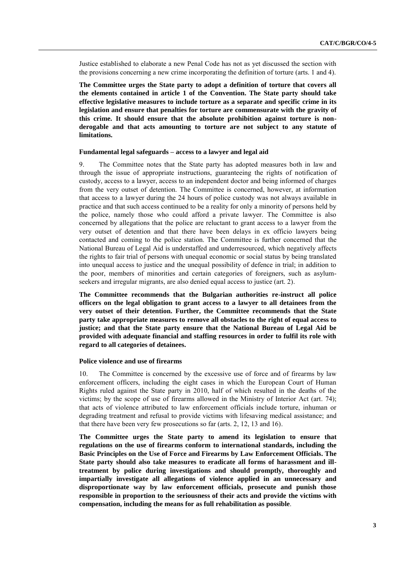Justice established to elaborate a new Penal Code has not as yet discussed the section with the provisions concerning a new crime incorporating the definition of torture (arts. 1 and 4).

**The Committee urges the State party to adopt a definition of torture that covers all the elements contained in article 1 of the Convention. The State party should take effective legislative measures to include torture as a separate and specific crime in its legislation and ensure that penalties for torture are commensurate with the gravity of this crime. It should ensure that the absolute prohibition against torture is nonderogable and that acts amounting to torture are not subject to any statute of limitations.**

#### **Fundamental legal safeguards – access to a lawyer and legal aid**

9. The Committee notes that the State party has adopted measures both in law and through the issue of appropriate instructions, guaranteeing the rights of notification of custody, access to a lawyer, access to an independent doctor and being informed of charges from the very outset of detention. The Committee is concerned, however, at information that access to a lawyer during the 24 hours of police custody was not always available in practice and that such access continued to be a reality for only a minority of persons held by the police, namely those who could afford a private lawyer. The Committee is also concerned by allegations that the police are reluctant to grant access to a lawyer from the very outset of detention and that there have been delays in ex officio lawyers being contacted and coming to the police station. The Committee is further concerned that the National Bureau of Legal Aid is understaffed and underresourced, which negatively affects the rights to fair trial of persons with unequal economic or social status by being translated into unequal access to justice and the unequal possibility of defence in trial; in addition to the poor, members of minorities and certain categories of foreigners, such as asylumseekers and irregular migrants, are also denied equal access to justice (art. 2).

**The Committee recommends that the Bulgarian authorities re-instruct all police officers on the legal obligation to grant access to a lawyer to all detainees from the very outset of their detention. Further, the Committee recommends that the State party take appropriate measures to remove all obstacles to the right of equal access to justice; and that the State party ensure that the National Bureau of Legal Aid be provided with adequate financial and staffing resources in order to fulfil its role with regard to all categories of detainees.**

#### **Police violence and use of firearms**

10. The Committee is concerned by the excessive use of force and of firearms by law enforcement officers, including the eight cases in which the European Court of Human Rights ruled against the State party in 2010, half of which resulted in the deaths of the victims; by the scope of use of firearms allowed in the Ministry of Interior Act (art. 74); that acts of violence attributed to law enforcement officials include torture, inhuman or degrading treatment and refusal to provide victims with lifesaving medical assistance; and that there have been very few prosecutions so far (arts. 2, 12, 13 and 16).

**The Committee urges the State party to amend its legislation to ensure that regulations on the use of firearms conform to international standards, including the Basic Principles on the Use of Force and Firearms by Law Enforcement Officials. The State party should also take measures to eradicate all forms of harassment and illtreatment by police during investigations and should promptly, thoroughly and impartially investigate all allegations of violence applied in an unnecessary and disproportionate way by law enforcement officials, prosecute and punish those responsible in proportion to the seriousness of their acts and provide the victims with compensation, including the means for as full rehabilitation as possible**.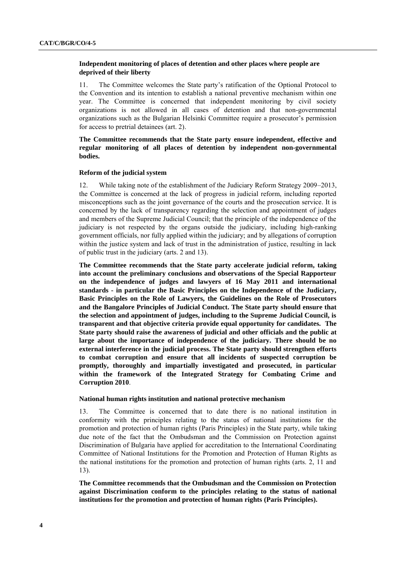## **Independent monitoring of places of detention and other places where people are deprived of their liberty**

11. The Committee welcomes the State party's ratification of the Optional Protocol to the Convention and its intention to establish a national preventive mechanism within one year. The Committee is concerned that independent monitoring by civil society organizations is not allowed in all cases of detention and that non-governmental organizations such as the Bulgarian Helsinki Committee require a prosecutor's permission for access to pretrial detainees (art. 2).

## **The Committee recommends that the State party ensure independent, effective and regular monitoring of all places of detention by independent non-governmental bodies.**

### **Reform of the judicial system**

12. While taking note of the establishment of the Judiciary Reform Strategy 2009–2013, the Committee is concerned at the lack of progress in judicial reform, including reported misconceptions such as the joint governance of the courts and the prosecution service. It is concerned by the lack of transparency regarding the selection and appointment of judges and members of the Supreme Judicial Council; that the principle of the independence of the judiciary is not respected by the organs outside the judiciary, including high-ranking government officials, nor fully applied within the judiciary; and by allegations of corruption within the justice system and lack of trust in the administration of justice, resulting in lack of public trust in the judiciary (arts. 2 and 13).

**The Committee recommends that the State party accelerate judicial reform, taking into account the preliminary conclusions and observations of the Special Rapporteur on the independence of judges and lawyers of 16 May 2011 and international standards - in particular the Basic Principles on the Independence of the Judiciary, Basic Principles on the Role of Lawyers, the Guidelines on the Role of Prosecutors and the Bangalore Principles of Judicial Conduct. The State party should ensure that the selection and appointment of judges, including to the Supreme Judicial Council, is transparent and that objective criteria provide equal opportunity for candidates. The State party should raise the awareness of judicial and other officials and the public at large about the importance of independence of the judiciary. There should be no external interference in the judicial process. The State party should strengthen efforts to combat corruption and ensure that all incidents of suspected corruption be promptly, thoroughly and impartially investigated and prosecuted, in particular within the framework of the Integrated Strategy for Combating Crime and Corruption 2010**.

#### **National human rights institution and national protective mechanism**

13. The Committee is concerned that to date there is no national institution in conformity with the principles relating to the status of national institutions for the promotion and protection of human rights (Paris Principles) in the State party, while taking due note of the fact that the Ombudsman and the Commission on Protection against Discrimination of Bulgaria have applied for accreditation to the International Coordinating Committee of National Institutions for the Promotion and Protection of Human Rights as the national institutions for the promotion and protection of human rights (arts. 2, 11 and 13).

**The Committee recommends that the Ombudsman and the Commission on Protection against Discrimination conform to the principles relating to the status of national institutions for the promotion and protection of human rights (Paris Principles).**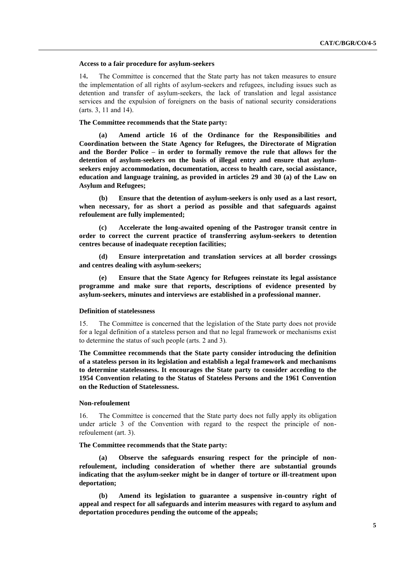#### **Access to a fair procedure for asylum-seekers**

14**.** The Committee is concerned that the State party has not taken measures to ensure the implementation of all rights of asylum-seekers and refugees, including issues such as detention and transfer of asylum-seekers, the lack of translation and legal assistance services and the expulsion of foreigners on the basis of national security considerations (arts. 3, 11 and 14).

#### **The Committee recommends that the State party:**

**(a) Amend article 16 of the Ordinance for the Responsibilities and Coordination between the State Agency for Refugees, the Directorate of Migration and the Border Police – in order to formally remove the rule that allows for the detention of asylum-seekers on the basis of illegal entry and ensure that asylumseekers enjoy accommodation, documentation, access to health care, social assistance, education and language training, as provided in articles 29 and 30 (a) of the Law on Asylum and Refugees;**

**(b) Ensure that the detention of asylum-seekers is only used as a last resort, when necessary, for as short a period as possible and that safeguards against refoulement are fully implemented;**

**(c) Accelerate the long-awaited opening of the Pastrogor transit centre in order to correct the current practice of transferring asylum-seekers to detention centres because of inadequate reception facilities;**

**(d) Ensure interpretation and translation services at all border crossings and centres dealing with asylum-seekers;**

**(e) Ensure that the State Agency for Refugees reinstate its legal assistance programme and make sure that reports, descriptions of evidence presented by asylum-seekers, minutes and interviews are established in a professional manner.**

#### **Definition of statelessness**

15. The Committee is concerned that the legislation of the State party does not provide for a legal definition of a stateless person and that no legal framework or mechanisms exist to determine the status of such people (arts. 2 and 3).

**The Committee recommends that the State party consider introducing the definition of a stateless person in its legislation and establish a legal framework and mechanisms to determine statelessness. It encourages the State party to consider acceding to the 1954 Convention relating to the Status of Stateless Persons and the 1961 Convention on the Reduction of Statelessness.**

#### **Non-refoulement**

16. The Committee is concerned that the State party does not fully apply its obligation under article 3 of the Convention with regard to the respect the principle of nonrefoulement (art. 3).

#### **The Committee recommends that the State party:**

**(a) Observe the safeguards ensuring respect for the principle of nonrefoulement, including consideration of whether there are substantial grounds indicating that the asylum-seeker might be in danger of torture or ill-treatment upon deportation;**

**(b) Amend its legislation to guarantee a suspensive in-country right of appeal and respect for all safeguards and interim measures with regard to asylum and deportation procedures pending the outcome of the appeals;**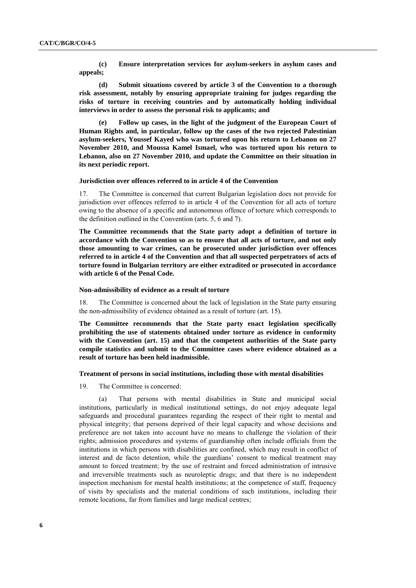**(c) Ensure interpretation services for asylum-seekers in asylum cases and appeals;**

**(d) Submit situations covered by article 3 of the Convention to a thorough risk assessment, notably by ensuring appropriate training for judges regarding the risks of torture in receiving countries and by automatically holding individual interviews in order to assess the personal risk to applicants; and**

**(e) Follow up cases, in the light of the judgment of the European Court of Human Rights and, in particular, follow up the cases of the two rejected Palestinian asylum-seekers, Youssef Kayed who was tortured upon his return to Lebanon on 27 November 2010, and Moussa Kamel Ismael, who was tortured upon his return to Lebanon, also on 27 November 2010, and update the Committee on their situation in its next periodic report.**

## **Jurisdiction over offences referred to in article 4 of the Convention**

17. The Committee is concerned that current Bulgarian legislation does not provide for jurisdiction over offences referred to in article 4 of the Convention for all acts of torture owing to the absence of a specific and autonomous offence of torture which corresponds to the definition outlined in the Convention (arts. 5, 6 and 7).

**The Committee recommends that the State party adopt a definition of torture in accordance with the Convention so as to ensure that all acts of torture, and not only those amounting to war crimes, can be prosecuted under jurisdiction over offences referred to in article 4 of the Convention and that all suspected perpetrators of acts of torture found in Bulgarian territory are either extradited or prosecuted in accordance with article 6 of the Penal Code.**

#### **Non-admissibility of evidence as a result of torture**

18. The Committee is concerned about the lack of legislation in the State party ensuring the non-admissibility of evidence obtained as a result of torture (art. 15).

**The Committee recommends that the State party enact legislation specifically prohibiting the use of statements obtained under torture as evidence in conformity with the Convention (art. 15) and that the competent authorities of the State party compile statistics and submit to the Committee cases where evidence obtained as a result of torture has been held inadmissible.**

#### **Treatment of persons in social institutions, including those with mental disabilities**

19. The Committee is concerned:

(a) That persons with mental disabilities in State and municipal social institutions, particularly in medical institutional settings, do not enjoy adequate legal safeguards and procedural guarantees regarding the respect of their right to mental and physical integrity; that persons deprived of their legal capacity and whose decisions and preference are not taken into account have no means to challenge the violation of their rights; admission procedures and systems of guardianship often include officials from the institutions in which persons with disabilities are confined, which may result in conflict of interest and de facto detention, while the guardians' consent to medical treatment may amount to forced treatment; by the use of restraint and forced administration of intrusive and irreversible treatments such as neuroleptic drugs; and that there is no independent inspection mechanism for mental health institutions; at the competence of staff, frequency of visits by specialists and the material conditions of such institutions, including their remote locations, far from families and large medical centres;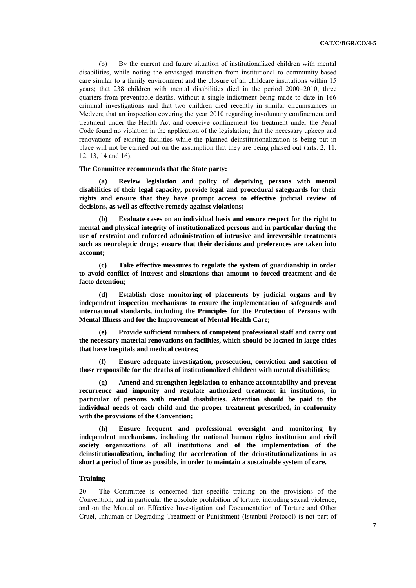(b) By the current and future situation of institutionalized children with mental disabilities, while noting the envisaged transition from institutional to community-based care similar to a family environment and the closure of all childcare institutions within 15 years; that 238 children with mental disabilities died in the period 2000–2010, three quarters from preventable deaths, without a single indictment being made to date in 166 criminal investigations and that two children died recently in similar circumstances in Medven; that an inspection covering the year 2010 regarding involuntary confinement and treatment under the Health Act and coercive confinement for treatment under the Penal Code found no violation in the application of the legislation; that the necessary upkeep and renovations of existing facilities while the planned deinstitutionalization is being put in place will not be carried out on the assumption that they are being phased out (arts. 2, 11, 12, 13, 14 and 16).

#### **The Committee recommends that the State party:**

**(a) Review legislation and policy of depriving persons with mental disabilities of their legal capacity, provide legal and procedural safeguards for their rights and ensure that they have prompt access to effective judicial review of decisions, as well as effective remedy against violations;**

**(b) Evaluate cases on an individual basis and ensure respect for the right to mental and physical integrity of institutionalized persons and in particular during the use of restraint and enforced administration of intrusive and irreversible treatments such as neuroleptic drugs; ensure that their decisions and preferences are taken into account;**

**(c) Take effective measures to regulate the system of guardianship in order to avoid conflict of interest and situations that amount to forced treatment and de facto detention;**

**(d) Establish close monitoring of placements by judicial organs and by independent inspection mechanisms to ensure the implementation of safeguards and international standards, including the Principles for the Protection of Persons with Mental Illness and for the Improvement of Mental Health Care;**

**(e) Provide sufficient numbers of competent professional staff and carry out the necessary material renovations on facilities, which should be located in large cities that have hospitals and medical centres;**

**(f) Ensure adequate investigation, prosecution, conviction and sanction of those responsible for the deaths of institutionalized children with mental disabilities;**

**(g) Amend and strengthen legislation to enhance accountability and prevent recurrence and impunity and regulate authorized treatment in institutions, in particular of persons with mental disabilities. Attention should be paid to the individual needs of each child and the proper treatment prescribed, in conformity with the provisions of the Convention;**

**(h) Ensure frequent and professional oversight and monitoring by independent mechanisms, including the national human rights institution and civil society organizations of all institutions and of the implementation of the deinstitutionalization, including the acceleration of the deinstitutionalizations in as short a period of time as possible, in order to maintain a sustainable system of care.**

#### **Training**

20. The Committee is concerned that specific training on the provisions of the Convention, and in particular the absolute prohibition of torture, including sexual violence, and on the Manual on Effective Investigation and Documentation of Torture and Other Cruel, Inhuman or Degrading Treatment or Punishment (Istanbul Protocol) is not part of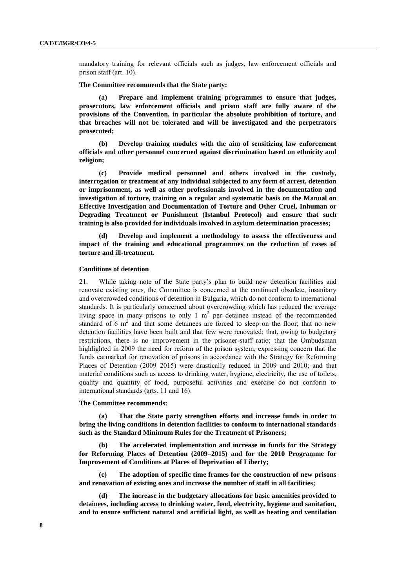mandatory training for relevant officials such as judges, law enforcement officials and prison staff (art. 10).

#### **The Committee recommends that the State party:**

**(a) Prepare and implement training programmes to ensure that judges, prosecutors, law enforcement officials and prison staff are fully aware of the provisions of the Convention, in particular the absolute prohibition of torture, and that breaches will not be tolerated and will be investigated and the perpetrators prosecuted;**

**(b) Develop training modules with the aim of sensitizing law enforcement officials and other personnel concerned against discrimination based on ethnicity and religion;**

**(c) Provide medical personnel and others involved in the custody, interrogation or treatment of any individual subjected to any form of arrest, detention or imprisonment, as well as other professionals involved in the documentation and investigation of torture, training on a regular and systematic basis on the Manual on Effective Investigation and Documentation of Torture and Other Cruel, Inhuman or Degrading Treatment or Punishment (Istanbul Protocol) and ensure that such training is also provided for individuals involved in asylum determination processes;**

**(d) Develop and implement a methodology to assess the effectiveness and impact of the training and educational programmes on the reduction of cases of torture and ill-treatment.**

#### **Conditions of detention**

21. While taking note of the State party's plan to build new detention facilities and renovate existing ones, the Committee is concerned at the continued obsolete, insanitary and overcrowded conditions of detention in Bulgaria, which do not conform to international standards. It is particularly concerned about overcrowding which has reduced the average living space in many prisons to only  $1 \text{ m}^2$  per detainee instead of the recommended standard of 6  $m<sup>2</sup>$  and that some detainees are forced to sleep on the floor; that no new detention facilities have been built and that few were renovated; that, owing to budgetary restrictions, there is no improvement in the prisoner-staff ratio; that the Ombudsman highlighted in 2009 the need for reform of the prison system, expressing concern that the funds earmarked for renovation of prisons in accordance with the Strategy for Reforming Places of Detention (2009–2015) were drastically reduced in 2009 and 2010; and that material conditions such as access to drinking water, hygiene, electricity, the use of toilets, quality and quantity of food, purposeful activities and exercise do not conform to international standards (arts. 11 and 16).

#### **The Committee recommends:**

**(a) That the State party strengthen efforts and increase funds in order to bring the living conditions in detention facilities to conform to international standards such as the Standard Minimum Rules for the Treatment of Prisoners;**

**(b) The accelerated implementation and increase in funds for the Strategy for Reforming Places of Detention (2009–2015) and for the 2010 Programme for Improvement of Conditions at Places of Deprivation of Liberty;**

**(c) The adoption of specific time frames for the construction of new prisons and renovation of existing ones and increase the number of staff in all facilities;**

**(d) The increase in the budgetary allocations for basic amenities provided to detainees, including access to drinking water, food, electricity, hygiene and sanitation, and to ensure sufficient natural and artificial light, as well as heating and ventilation**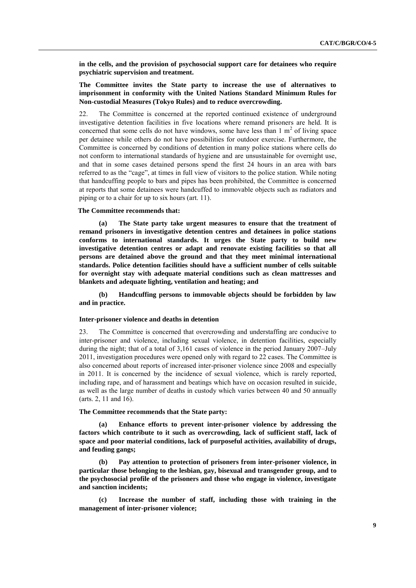**in the cells, and the provision of psychosocial support care for detainees who require psychiatric supervision and treatment.**

## **The Committee invites the State party to increase the use of alternatives to imprisonment in conformity with the United Nations Standard Minimum Rules for Non-custodial Measures (Tokyo Rules) and to reduce overcrowding.**

22. The Committee is concerned at the reported continued existence of underground investigative detention facilities in five locations where remand prisoners are held. It is concerned that some cells do not have windows, some have less than  $1 \text{ m}^2$  of living space per detainee while others do not have possibilities for outdoor exercise. Furthermore, the Committee is concerned by conditions of detention in many police stations where cells do not conform to international standards of hygiene and are unsustainable for overnight use, and that in some cases detained persons spend the first 24 hours in an area with bars referred to as the "cage", at times in full view of visitors to the police station. While noting that handcuffing people to bars and pipes has been prohibited, the Committee is concerned at reports that some detainees were handcuffed to immovable objects such as radiators and piping or to a chair for up to six hours (art. 11).

#### **The Committee recommends that:**

**(a) The State party take urgent measures to ensure that the treatment of remand prisoners in investigative detention centres and detainees in police stations conforms to international standards. It urges the State party to build new investigative detention centres or adapt and renovate existing facilities so that all persons are detained above the ground and that they meet minimal international standards. Police detention facilities should have a sufficient number of cells suitable for overnight stay with adequate material conditions such as clean mattresses and blankets and adequate lighting, ventilation and heating; and**

**(b) Handcuffing persons to immovable objects should be forbidden by law and in practice.**

#### **Inter-prisoner violence and deaths in detention**

23. The Committee is concerned that overcrowding and understaffing are conducive to inter-prisoner and violence, including sexual violence, in detention facilities, especially during the night; that of a total of 3,161 cases of violence in the period January 2007–July 2011, investigation procedures were opened only with regard to 22 cases. The Committee is also concerned about reports of increased inter-prisoner violence since 2008 and especially in 2011. It is concerned by the incidence of sexual violence, which is rarely reported, including rape, and of harassment and beatings which have on occasion resulted in suicide, as well as the large number of deaths in custody which varies between 40 and 50 annually (arts. 2, 11 and 16).

#### **The Committee recommends that the State party:**

**(a) Enhance efforts to prevent inter-prisoner violence by addressing the factors which contribute to it such as overcrowding, lack of sufficient staff, lack of space and poor material conditions, lack of purposeful activities, availability of drugs, and feuding gangs;** 

**(b) Pay attention to protection of prisoners from inter-prisoner violence, in particular those belonging to the lesbian, gay, bisexual and transgender group, and to the psychosocial profile of the prisoners and those who engage in violence, investigate and sanction incidents;**

**(c) Increase the number of staff, including those with training in the management of inter-prisoner violence;**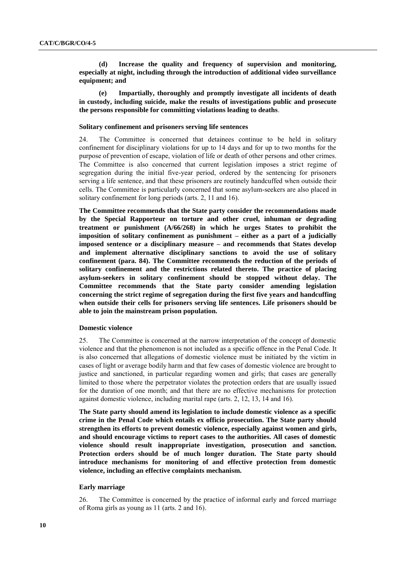**(d) Increase the quality and frequency of supervision and monitoring, especially at night, including through the introduction of additional video surveillance equipment; and**

**(e) Impartially, thoroughly and promptly investigate all incidents of death in custody, including suicide, make the results of investigations public and prosecute the persons responsible for committing violations leading to deaths**.

#### **Solitary confinement and prisoners serving life sentences**

24. The Committee is concerned that detainees continue to be held in solitary confinement for disciplinary violations for up to 14 days and for up to two months for the purpose of prevention of escape, violation of life or death of other persons and other crimes. The Committee is also concerned that current legislation imposes a strict regime of segregation during the initial five-year period, ordered by the sentencing for prisoners serving a life sentence, and that these prisoners are routinely handcuffed when outside their cells. The Committee is particularly concerned that some asylum-seekers are also placed in solitary confinement for long periods (arts. 2, 11 and 16).

**The Committee recommends that the State party consider the recommendations made by the Special Rapporteur on torture and other cruel, inhuman or degrading treatment or punishment (A/66/268) in which he urges States to prohibit the imposition of solitary confinement as punishment – either as a part of a judicially imposed sentence or a disciplinary measure – and recommends that States develop and implement alternative disciplinary sanctions to avoid the use of solitary confinement (para. 84). The Committee recommends the reduction of the periods of solitary confinement and the restrictions related thereto. The practice of placing asylum-seekers in solitary confinement should be stopped without delay. The Committee recommends that the State party consider amending legislation concerning the strict regime of segregation during the first five years and handcuffing when outside their cells for prisoners serving life sentences. Life prisoners should be able to join the mainstream prison population.**

#### **Domestic violence**

25. The Committee is concerned at the narrow interpretation of the concept of domestic violence and that the phenomenon is not included as a specific offence in the Penal Code. It is also concerned that allegations of domestic violence must be initiated by the victim in cases of light or average bodily harm and that few cases of domestic violence are brought to justice and sanctioned, in particular regarding women and girls; that cases are generally limited to those where the perpetrator violates the protection orders that are usually issued for the duration of one month; and that there are no effective mechanisms for protection against domestic violence, including marital rape (arts. 2, 12, 13, 14 and 16).

**The State party should amend its legislation to include domestic violence as a specific crime in the Penal Code which entails ex officio prosecution. The State party should strengthen its efforts to prevent domestic violence, especially against women and girls, and should encourage victims to report cases to the authorities. All cases of domestic violence should result inappropriate investigation, prosecution and sanction. Protection orders should be of much longer duration. The State party should introduce mechanisms for monitoring of and effective protection from domestic violence, including an effective complaints mechanism.**

#### **Early marriage**

26. The Committee is concerned by the practice of informal early and forced marriage of Roma girls as young as 11 (arts. 2 and 16).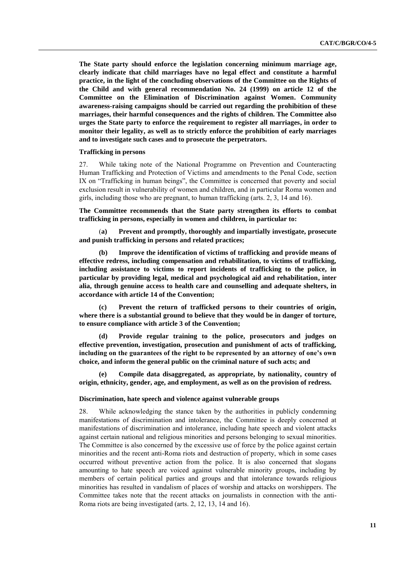**The State party should enforce the legislation concerning minimum marriage age, clearly indicate that child marriages have no legal effect and constitute a harmful practice, in the light of the concluding observations of the Committee on the Rights of the Child and with general recommendation No. 24 (1999) on article 12 of the Committee on the Elimination of Discrimination against Women. Community awareness-raising campaigns should be carried out regarding the prohibition of these marriages, their harmful consequences and the rights of children. The Committee also urges the State party to enforce the requirement to register all marriages, in order to monitor their legality, as well as to strictly enforce the prohibition of early marriages and to investigate such cases and to prosecute the perpetrators.**

### **Trafficking in persons**

27. While taking note of the National Programme on Prevention and Counteracting Human Trafficking and Protection of Victims and amendments to the Penal Code, section IX on "Trafficking in human beings", the Committee is concerned that poverty and social exclusion result in vulnerability of women and children, and in particular Roma women and girls, including those who are pregnant, to human trafficking (arts. 2, 3, 14 and 16).

**The Committee recommends that the State party strengthen its efforts to combat trafficking in persons, especially in women and children, in particular to:** 

(**a) Prevent and promptly, thoroughly and impartially investigate, prosecute and punish trafficking in persons and related practices;** 

**(b) Improve the identification of victims of trafficking and provide means of effective redress, including compensation and rehabilitation, to victims of trafficking, including assistance to victims to report incidents of trafficking to the police, in particular by providing legal, medical and psychological aid and rehabilitation, inter alia, through genuine access to health care and counselling and adequate shelters, in accordance with article 14 of the Convention;** 

**(c) Prevent the return of trafficked persons to their countries of origin, where there is a substantial ground to believe that they would be in danger of torture, to ensure compliance with article 3 of the Convention;**

**(d) Provide regular training to the police, prosecutors and judges on effective prevention, investigation, prosecution and punishment of acts of trafficking, including on the guarantees of the right to be represented by an attorney of one's own choice, and inform the general public on the criminal nature of such acts; and** 

**(e) Compile data disaggregated, as appropriate, by nationality, country of origin, ethnicity, gender, age, and employment, as well as on the provision of redress.** 

#### **Discrimination, hate speech and violence against vulnerable groups**

28. While acknowledging the stance taken by the authorities in publicly condemning manifestations of discrimination and intolerance, the Committee is deeply concerned at manifestations of discrimination and intolerance, including hate speech and violent attacks against certain national and religious minorities and persons belonging to sexual minorities. The Committee is also concerned by the excessive use of force by the police against certain minorities and the recent anti-Roma riots and destruction of property, which in some cases occurred without preventive action from the police. It is also concerned that slogans amounting to hate speech are voiced against vulnerable minority groups, including by members of certain political parties and groups and that intolerance towards religious minorities has resulted in vandalism of places of worship and attacks on worshippers. The Committee takes note that the recent attacks on journalists in connection with the anti-Roma riots are being investigated (arts. 2, 12, 13, 14 and 16).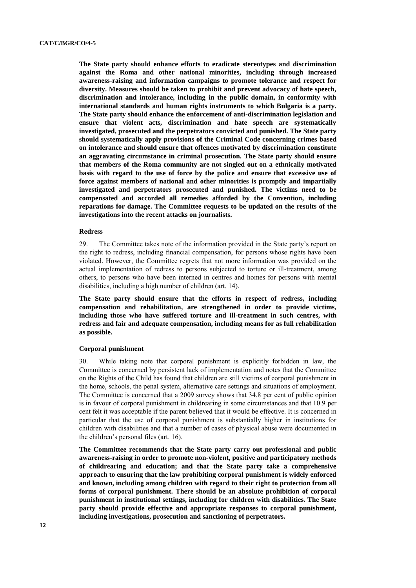**The State party should enhance efforts to eradicate stereotypes and discrimination against the Roma and other national minorities, including through increased awareness-raising and information campaigns to promote tolerance and respect for diversity. Measures should be taken to prohibit and prevent advocacy of hate speech, discrimination and intolerance, including in the public domain, in conformity with international standards and human rights instruments to which Bulgaria is a party. The State party should enhance the enforcement of anti-discrimination legislation and ensure that violent acts, discrimination and hate speech are systematically investigated, prosecuted and the perpetrators convicted and punished. The State party should systematically apply provisions of the Criminal Code concerning crimes based on intolerance and should ensure that offences motivated by discrimination constitute an aggravating circumstance in criminal prosecution. The State party should ensure that members of the Roma community are not singled out on a ethnically motivated basis with regard to the use of force by the police and ensure that excessive use of force against members of national and other minorities is promptly and impartially investigated and perpetrators prosecuted and punished. The victims need to be compensated and accorded all remedies afforded by the Convention, including reparations for damage. The Committee requests to be updated on the results of the investigations into the recent attacks on journalists.**

#### **Redress**

29. The Committee takes note of the information provided in the State party's report on the right to redress, including financial compensation, for persons whose rights have been violated. However, the Committee regrets that not more information was provided on the actual implementation of redress to persons subjected to torture or ill-treatment, among others, to persons who have been interned in centres and homes for persons with mental disabilities, including a high number of children (art. 14).

**The State party should ensure that the efforts in respect of redress, including compensation and rehabilitation, are strengthened in order to provide victims, including those who have suffered torture and ill-treatment in such centres, with redress and fair and adequate compensation, including means for as full rehabilitation as possible.**

### **Corporal punishment**

30. While taking note that corporal punishment is explicitly forbidden in law, the Committee is concerned by persistent lack of implementation and notes that the Committee on the Rights of the Child has found that children are still victims of corporal punishment in the home, schools, the penal system, alternative care settings and situations of employment. The Committee is concerned that a 2009 survey shows that 34.8 per cent of public opinion is in favour of corporal punishment in childrearing in some circumstances and that 10.9 per cent felt it was acceptable if the parent believed that it would be effective. It is concerned in particular that the use of corporal punishment is substantially higher in institutions for children with disabilities and that a number of cases of physical abuse were documented in the children's personal files (art. 16).

**The Committee recommends that the State party carry out professional and public awareness-raising in order to promote non-violent, positive and participatory methods of childrearing and education; and that the State party take a comprehensive approach to ensuring that the law prohibiting corporal punishment is widely enforced and known, including among children with regard to their right to protection from all forms of corporal punishment. There should be an absolute prohibition of corporal punishment in institutional settings, including for children with disabilities. The State party should provide effective and appropriate responses to corporal punishment, including investigations, prosecution and sanctioning of perpetrators.**